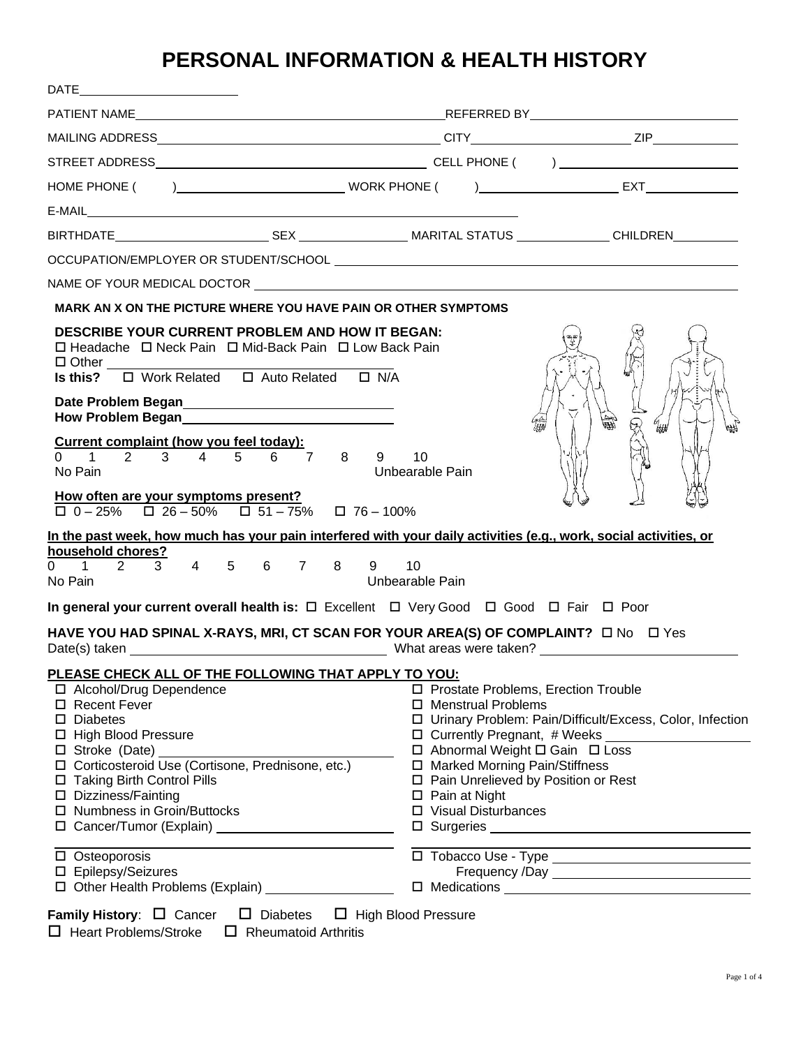# **PERSONAL INFORMATION & HEALTH HISTORY**

| DATE                                                                                                                                                                                                                                                                                                                                                                                                                               |                                                                                                                                                                                                                                                                                                                                          |  |
|------------------------------------------------------------------------------------------------------------------------------------------------------------------------------------------------------------------------------------------------------------------------------------------------------------------------------------------------------------------------------------------------------------------------------------|------------------------------------------------------------------------------------------------------------------------------------------------------------------------------------------------------------------------------------------------------------------------------------------------------------------------------------------|--|
|                                                                                                                                                                                                                                                                                                                                                                                                                                    |                                                                                                                                                                                                                                                                                                                                          |  |
|                                                                                                                                                                                                                                                                                                                                                                                                                                    |                                                                                                                                                                                                                                                                                                                                          |  |
|                                                                                                                                                                                                                                                                                                                                                                                                                                    |                                                                                                                                                                                                                                                                                                                                          |  |
|                                                                                                                                                                                                                                                                                                                                                                                                                                    |                                                                                                                                                                                                                                                                                                                                          |  |
|                                                                                                                                                                                                                                                                                                                                                                                                                                    |                                                                                                                                                                                                                                                                                                                                          |  |
|                                                                                                                                                                                                                                                                                                                                                                                                                                    |                                                                                                                                                                                                                                                                                                                                          |  |
|                                                                                                                                                                                                                                                                                                                                                                                                                                    |                                                                                                                                                                                                                                                                                                                                          |  |
|                                                                                                                                                                                                                                                                                                                                                                                                                                    |                                                                                                                                                                                                                                                                                                                                          |  |
| MARK AN X ON THE PICTURE WHERE YOU HAVE PAIN OR OTHER SYMPTOMS                                                                                                                                                                                                                                                                                                                                                                     |                                                                                                                                                                                                                                                                                                                                          |  |
| <b>DESCRIBE YOUR CURRENT PROBLEM AND HOW IT BEGAN:</b><br>□ Headache □ Neck Pain □ Mid-Back Pain □ Low Back Pain<br>$\Box$ Other $\_$<br>Date Problem Began<br><u>Late Problem Began</u><br>How Problem Began<br><u>Letter and the contract of the set of the set of the set of the set of the set of the set of the set of the set of the set of the set of the set of the set of the set of the set of the set of the set of</u> | 曙<br>$\theta_{\text{Hilb}}$                                                                                                                                                                                                                                                                                                              |  |
| <u>Current complaint (how you feel today):</u><br>0 1 2 3 4 5 6 7 8<br>No Pain<br>How often are your symptoms present?<br>$\Box$ 0 - 25% $\Box$ 26 - 50% $\Box$ 51 - 75% $\Box$ 76 - 100%<br>In the past week, how much has your pain interfered with your daily activities (e.g., work, social activities, or                                                                                                                     | $9$ 10<br>Unbearable Pain                                                                                                                                                                                                                                                                                                                |  |
| household chores?<br>$2 \quad 3 \quad 4 \quad 5 \quad 6 \quad 7 \quad 8$<br>$0 \quad 1$<br>$9^{\circ}$                                                                                                                                                                                                                                                                                                                             | 10                                                                                                                                                                                                                                                                                                                                       |  |
| No Pain                                                                                                                                                                                                                                                                                                                                                                                                                            | Unbearable Pain                                                                                                                                                                                                                                                                                                                          |  |
| In general your current overall health is: $\Box$ Excellent $\Box$ Very Good $\Box$ Good $\Box$ Fair $\Box$ Poor                                                                                                                                                                                                                                                                                                                   |                                                                                                                                                                                                                                                                                                                                          |  |
| HAVE YOU HAD SPINAL X-RAYS, MRI, CT SCAN FOR YOUR AREA(S) OF COMPLAINT? $\Box$ No $\Box$ Yes                                                                                                                                                                                                                                                                                                                                       |                                                                                                                                                                                                                                                                                                                                          |  |
| PLEASE CHECK ALL OF THE FOLLOWING THAT APPLY TO YOU:<br>□ Alcohol/Drug Dependence<br>□ Recent Fever<br>$\square$ Diabetes<br>□ High Blood Pressure<br>$\square$ Stroke (Date)<br>□ Corticosteroid Use (Cortisone, Prednisone, etc.)<br>□ Taking Birth Control Pills<br>□ Dizziness/Fainting<br>□ Numbness in Groin/Buttocks                                                                                                        | □ Prostate Problems, Erection Trouble<br>□ Menstrual Problems<br>□ Urinary Problem: Pain/Difficult/Excess, Color, Infection<br>$\Box$ Currently Pregnant, # Weeks $\Box$<br>□ Abnormal Weight □ Gain □ Loss<br>□ Marked Morning Pain/Stiffness<br>□ Pain Unrelieved by Position or Rest<br>$\Box$ Pain at Night<br>□ Visual Disturbances |  |
| $\square$ Osteoporosis<br>□ Epilepsy/Seizures                                                                                                                                                                                                                                                                                                                                                                                      |                                                                                                                                                                                                                                                                                                                                          |  |
| <b>Family History:</b> $\Box$ Cancer $\Box$ Diabetes $\Box$ High Blood Pressure                                                                                                                                                                                                                                                                                                                                                    |                                                                                                                                                                                                                                                                                                                                          |  |

 $\Box$  Heart Problems/Stroke  $\Box$  Rheumatoid Arthritis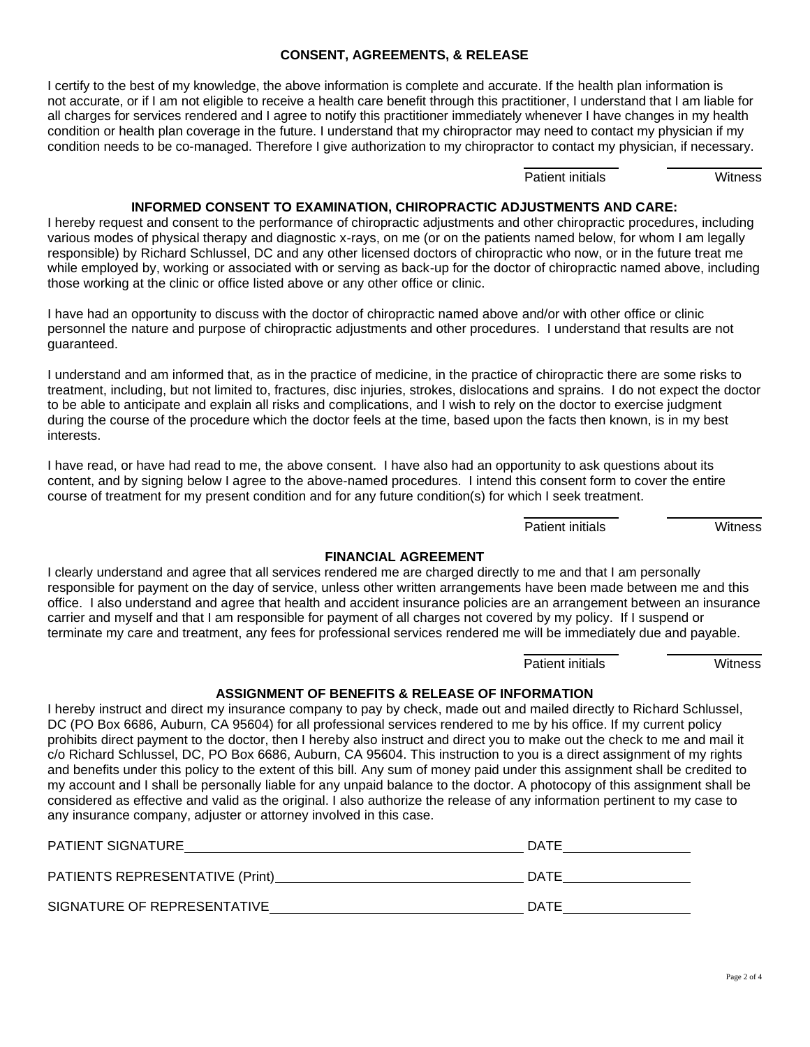#### **CONSENT, AGREEMENTS, & RELEASE**

I certify to the best of my knowledge, the above information is complete and accurate. If the health plan information is not accurate, or if I am not eligible to receive a health care benefit through this practitioner, I understand that I am liable for all charges for services rendered and I agree to notify this practitioner immediately whenever I have changes in my health condition or health plan coverage in the future. I understand that my chiropractor may need to contact my physician if my condition needs to be co-managed. Therefore I give authorization to my chiropractor to contact my physician, if necessary.

Patient initials **Witness** 

#### **INFORMED CONSENT TO EXAMINATION, CHIROPRACTIC ADJUSTMENTS AND CARE:**

I hereby request and consent to the performance of chiropractic adjustments and other chiropractic procedures, including various modes of physical therapy and diagnostic x-rays, on me (or on the patients named below, for whom I am legally responsible) by Richard Schlussel, DC and any other licensed doctors of chiropractic who now, or in the future treat me while employed by, working or associated with or serving as back-up for the doctor of chiropractic named above, including those working at the clinic or office listed above or any other office or clinic.

I have had an opportunity to discuss with the doctor of chiropractic named above and/or with other office or clinic personnel the nature and purpose of chiropractic adjustments and other procedures. I understand that results are not guaranteed.

I understand and am informed that, as in the practice of medicine, in the practice of chiropractic there are some risks to treatment, including, but not limited to, fractures, disc injuries, strokes, dislocations and sprains. I do not expect the doctor to be able to anticipate and explain all risks and complications, and I wish to rely on the doctor to exercise judgment during the course of the procedure which the doctor feels at the time, based upon the facts then known, is in my best interests.

I have read, or have had read to me, the above consent. I have also had an opportunity to ask questions about its content, and by signing below I agree to the above-named procedures. I intend this consent form to cover the entire course of treatment for my present condition and for any future condition(s) for which I seek treatment.

Patient initials **Witness** 

#### **FINANCIAL AGREEMENT**

I clearly understand and agree that all services rendered me are charged directly to me and that I am personally responsible for payment on the day of service, unless other written arrangements have been made between me and this office. I also understand and agree that health and accident insurance policies are an arrangement between an insurance carrier and myself and that I am responsible for payment of all charges not covered by my policy. If I suspend or terminate my care and treatment, any fees for professional services rendered me will be immediately due and payable.

Patient initials **Witness** 

#### **ASSIGNMENT OF BENEFITS & RELEASE OF INFORMATION**

I hereby instruct and direct my insurance company to pay by check, made out and mailed directly to Richard Schlussel, DC (PO Box 6686, Auburn, CA 95604) for all professional services rendered to me by his office. If my current policy prohibits direct payment to the doctor, then I hereby also instruct and direct you to make out the check to me and mail it c/o Richard Schlussel, DC, PO Box 6686, Auburn, CA 95604. This instruction to you is a direct assignment of my rights and benefits under this policy to the extent of this bill. Any sum of money paid under this assignment shall be credited to my account and I shall be personally liable for any unpaid balance to the doctor. A photocopy of this assignment shall be considered as effective and valid as the original. I also authorize the release of any information pertinent to my case to any insurance company, adjuster or attorney involved in this case.

| <b>PATIENT SIGNATURE</b>        | DATE |
|---------------------------------|------|
| PATIENTS REPRESENTATIVE (Print) | DATE |
| SIGNATURE OF REPRESENTATIVE     | DATE |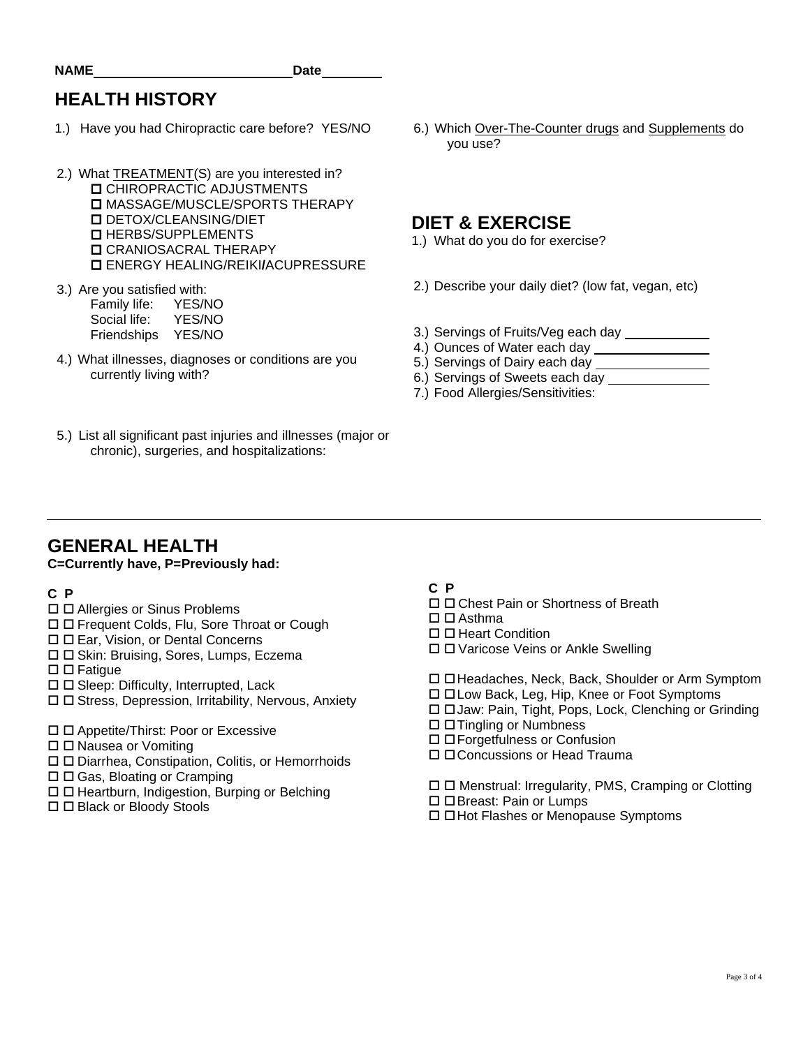# **HEALTH HISTORY**

- 1.) Have you had Chiropractic care before? YES/NO
- 2.) What TREATMENT(S) are you interested in? **D** CHIROPRACTIC ADJUSTMENTS **D MASSAGE/MUSCLE/SPORTS THERAPY**  DETOX/CLEANSING/DIET **D** HERBS/SUPPLEMENTS **D** CRANIOSACRAL THERAPY ENERGY HEALING/REIKI**/**ACUPRESSURE
- 3.) Are you satisfied with: Family life: YES/NO<br>Social life: YES/NO Social life:
	- Friendships YES/NO
- 4.) What illnesses, diagnoses or conditions are you currently living with?
- 5.) List all significant past injuries and illnesses (major or chronic), surgeries, and hospitalizations:

6.) Which Over-The-Counter drugs and Supplements do you use?

### **DIET & EXERCISE**

- 1.) What do you do for exercise?
- 2.) Describe your daily diet? (low fat, vegan, etc)
- 3.) Servings of Fruits/Veg each day
- 4.) Ounces of Water each day
- 5.) Servings of Dairy each day
- 6.) Servings of Sweets each day
- 7.) Food Allergies/Sensitivities:

### **GENERAL HEALTH**

#### **C=Currently have, P=Previously had:**

#### **C P**

- □ □ Allergies or Sinus Problems
- Frequent Colds, Flu, Sore Throat or Cough
- Ear, Vision, or Dental Concerns
- □ □ Skin: Bruising, Sores, Lumps, Eczema
- $\square$   $\square$  Fatigue
- $\square$   $\square$  Sleep: Difficulty, Interrupted, Lack
- $\square$   $\square$  Stress, Depression, Irritability, Nervous, Anxiety
- □ □ Appetite/Thirst: Poor or Excessive
- $\Box$   $\Box$  Nausea or Vomiting
- □ □ Diarrhea, Constipation, Colitis, or Hemorrhoids
- $\Box$   $\Box$  Gas, Bloating or Cramping
- $\Box$  Heartburn, Indigestion, Burping or Belching
- □ □ Black or Bloody Stools

#### **C P**

- □ □ Chest Pain or Shortness of Breath
- $\square$   $\square$  Asthma
- $\Box$   $\Box$  Heart Condition
- □ □ Varicose Veins or Ankle Swelling

□ □ Headaches, Neck, Back, Shoulder or Arm Symptom

- $\Box$   $\Box$  Low Back, Leg, Hip, Knee or Foot Symptoms
- Jaw: Pain, Tight, Pops, Lock, Clenching or Grinding
- □ □ Tingling or Numbness
- Forgetfulness or Confusion
- Concussions or Head Trauma

 $\Box$   $\Box$  Menstrual: Irregularity, PMS, Cramping or Clotting

- □ □ Breast: Pain or Lumps
- Hot Flashes or Menopause Symptoms